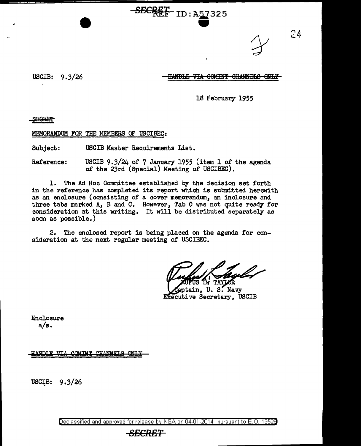<del>SECKEE</del> ID:A57325

 $24$ 

USCIB: 9.3/26

### HANDLE VIA COMINT CHANNELS ONLY

18 February 1955

SEGRET-

MEMORANDUM FOR THE MEMBERS OF USCISEC:

Subject: USCIB Master Requirements List.

Reference: USCIB 9.3/24 o£ 7 January 1955 (item 1 o£ the agenda o£ the 23rd (Special) Meeting o£ USCIBEC).

1. The Ad Hoc Committee established by the decision set forth in the reference has completed its report which is submitted herewith as an enclosure (consisting of a cover memorandum, an inclosure and three tabs marked A, B and C. However, Tab C was not quite ready for consideration at this writing. It will be distributed separately as soon as possible.)

2. The enclosed report is being placed on the agenda £or consideration at the next regular meeting o£ USCIBEC.

eptain, U.S. Navy Executive Secretary, USCIB

Enclosure  $a/s.$ 

HANDLE VIA COMINT CHANNELS ONLY

USCIB: 9.3/26

Declassified and approved for release by NSA on 04-01-2014 pursuant to E. 0. 1352B

### *SECRET*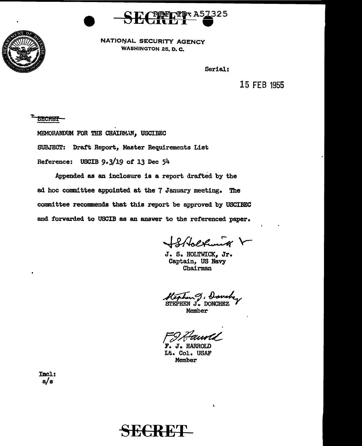



NATIONAL SECURITY AGENCY WASHINGTON 25, D. C.

Serial:

15 FEB 1955

**SECRET** 

MEMORANDUM FOR THE CHAIRMAN, USCIBEC

SUBJECT: Draft Report, Master Requirements List

Reference: USCIB 9·3/19 of 13 Dec 54

Appended as an inclosure is a report drafted by the ad hoc committee appointed at the 7 January meeting. The committee recommends that this report be approved by USCIBEC and forwarded to USCIB as an answer to the referenced paper.

Stbolkunk V

J. S. HOLTWICK, Jr. Captain, US Navy Chairman

~~~~ STEPHEN J. DONCHEZ *-y* 

 $\mathbf{r}$ 

Member

FIH Fawold

Lt. Col. USAF Member

Incl: a/s

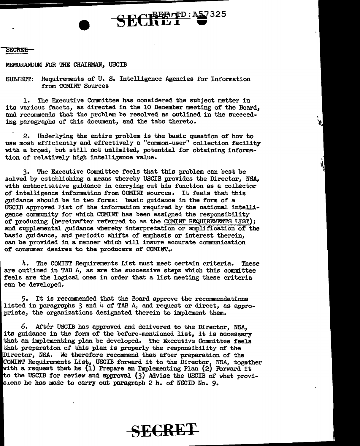#### SECRET:

MEMORANDUM FOR THE CHAIRMAN. USCIB

SUBJECT: Requirements of u. S. Intelligence Agencies for Information from COMINT Sources

SECRETP:<sup>A57325</sup>

1. The Executive Committee has considered the subject matter in its various facets, as directed in the 10 December meeting of the Board, and recommends that the problem be resolved as outlined in the succeeding paragraphs of this document, and the tabs thereto.

2. Underlying the entire problem is the basic question of how to use most efficiently and effectively a "common-user" collection facility with a broad, but sttll not unlimited, potential for obtaining information of relatively higb intelligence value.

3· The Executive Committee feels that this problem can best be solved by establishing a means whereby USCIB provides the Director, NSA, with authoritative guidance in carrying out his function as a collector of intelligence information from COMINT sources. It feels that this guidance should be in two forms: basic guidance in the form of a USCIB approved list of the information required by the national intelligence community for which COMINT has been assiened the responsibility of producing (hereinafter referred to as the COMINT REQUIREMENTS LIST); and supplemental guidance whereby interpretation or ampljfication of' the basic guidance, and periodic shifts of emphasis or interest therein, can be provided in a manner which will insure accurate communication of consumer desires to the producers of COMINT •.

4. The COMINT Requirements List must meet certain criteria. These are outlined in TAB A, as are the successive steps which this committee feels are the logical ones in order that a list meeting these criteria can be developed.

5· It is recommended that the Board approve the recommendations listed in paragraphs  $3$  and  $4$  of TAB A, and request or direct, as appropriate, the organizations designated therein to implement them.

6. After USCIB has approved and delivered to the Director, NSA, its guidance in the form of the before-mentioned list, it is necessary that an implementing plan be developed. The Executive Committee feels that preparation of this plan is properly the responsibility of the Director, NSA. We therefore recommend that after preparation of the COMINT Requirements List, USCIB forward it to the Director, NSA, together with a request that he (1) Prepare an Implementing Plan (2) Forward it to the USCIB for review and approval (3) Advise the USCIB of what provisions he has made to carry out paragraph 2 h. of NSCID No. 9.

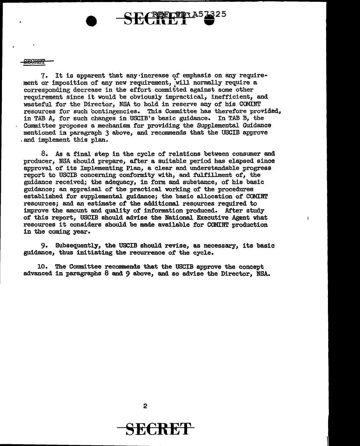SECREP

7• It is apparent that any·increase of emphasis on any requirement or imposition of any new requirement, will normally require a corresponding decrease in the effort committed against some other requirement since it would be obviously impractical, inefficient, and wasteful for the Director, NSA to hold in reserve any of his COMINT resources for such contingencies. This Committee has therefore provided, in TAB A, for such changes in USCIB's basic guidance. In TAB B, the Committee proposes a mechanism for providing the SUpplemental Guidance mentioned in paragraph 3 above, and recommends that the USCIB approve . and implement this plan.

CREETIN A5

8. *As* a final step in the cycle of relations between consumer and producer, NSA should prepare, after a suitable period has elapsed since approval of its Implementing Plan, a clear and understandable progress report to USCIB concerning conformity with, and fUlfillment of, the guidance received; the adequacy, in form and substance, of his basic guidance; an appraisal of the practical working of the procedures established for supplemental guidance; the basic allocation of COMINT resources; and an estimate of the additional resources required to improve the amount and quality of information produced. After study of this report, USCIB should advise the National Executive Agent what resources it considers should be made available for COMINT production in the coming year.

 $\mathbf{I}$ 

9. Subsequently, the USCIB should revise, as necessary, its basic guidance, thus initiating the recurrence of the cycle.

10. The Committee recommends that the USCIB approve the concept advanced in paragraphs 8 and 9 above, and so advise the Director, NSA.

2

## SE€RE'f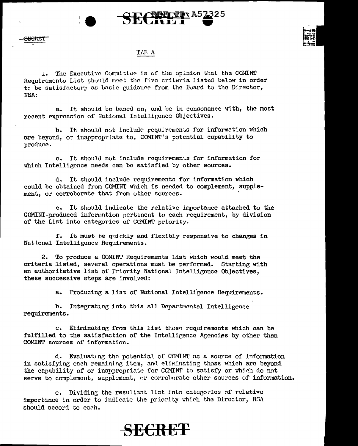



#### 'LWA

 $\frac{E}{E}$ 

÷

1. The Executive Committee is of the opinion that the COMINT Requirements List should meet the five criteria listed below in order to be satisfactory as basic guidance from the Board to the Director, NSA:

a. It should be based on, and be in consonance with, the most recent expression of National Intelligence Objectives.

b. It should not include requirements for information which are beyond, or inappropriate to, COMINT's potential capability to J>roduce.

c. It should not include requirements for information for which Intelligence needs can be satisfied by other sources.

d. It should include requirements for information which could be obtained from COMINT which is needed to complement, supplement, or corroborate that from other sources.

e. It should indicate the relative importance attached to the COMINT-produced information pertinent to each requirement, by division of the List into categorics of COMINT priority.

f. It must be quickly and flexibly responsive to changes in Nat. ional Intelligence Requirements.

2. To produce a COMINT Requirements List which would meet the criteria listed, several operations must be performed. Starting with an authoritative list of Friority National Intelligence Objectives, these successive steps are involved:

a. Producing a list of National Intelligence Requirements.

b. Integrating into this all Departmental Intelligence requirements.

c. Eliminating from this list those requirements which can be fulfilled to the satisfaction of the Intelligence Agencies by other than COMINT sources of information.

d. Evaluating the potential of COMINT as a source of information in satisfying each remaining item, and eliminating those which are beyond the capability of or inappropriate for COMINT to satisfy or which do not serve to complement, supplement, or corroborate other sources of information.

e. Dividing the resultant list into categories of relative importance in order to indicate the priority which the Director, NGA should accord to each.

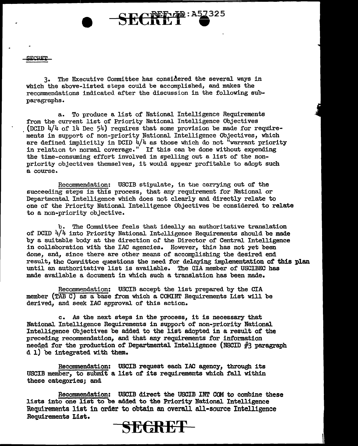SiCl.Ui!'l'

3. The Executive Committee has considered the several ways in which the above-listed steps could be accomplished, and makes the recommendations indicated after the discussion in the following subparagraphs.

a. To produce a list of National Intelligence Requirements from the current list of Priority National Intelligence Objectives (DCID  $4/4$  of  $14$  Dec  $54$ ) requires that some provision be made for requirements in support of non-priority National Intelligence Objectives, which are defined implicitly in DCID  $4/4$  as those which do not "warrant priority in relation to normal coverage." If this can be done without expending the time-consuming effort involved in spelling out a list of the nonpriority objectives themselves, it would appear profitable to adopt such a course.

SECRETTE: A57325

Recommendation: USCIB stipulate, in the carrying out of the succeeding steps in this process, that any requirement for National or Departmental Intelligence which does not clearly and directly relate to one of the Priority National Intelligence Objectives be considered to relate to a non-priority objective.

b. The Committee feels that ideally an authoritative translation of DCID  $4/4$  into Priority National Intelligence Requirements should be made by a suitable body at the direction or the Director of Central Intelligence in collaboration with the IAC agencies. However, this has not yet been done, and, since there are other means of accomplishing the desired end result, the Committee questions the need for delaying implementation of this plan until an authoritative list is available. The OIA member of USCIBEC has made available a document in which such a translation has been made.

Recommendation: USCIB accept the list prepared by the CIA member (TAB C) as a base from which a COMINT Requirements List will be derived, and seek lAC approval of this action.

c. As the next steps in the process, it is necessary that National Intelligence Requirements in support of non-priority National Intelligence Objectives be added to the list adopted in a result of the preceding recommendation, and that any requirements for infonmation needed for the production of Departmental Intelligence (NSCID  $#3$  paragraph d 1) be integrated with them.

Recomnendation: USCIB request each IAC agency, through its USCIB member, to submit a list of its requirements which fall within these categories; and

Recommendation: USCIB direct the USCIB INT CCM to combine these lists into one list to be added to the Priority National Intelligence Requirements list in order to obtain an overall all-source Intelligence Requirements List.

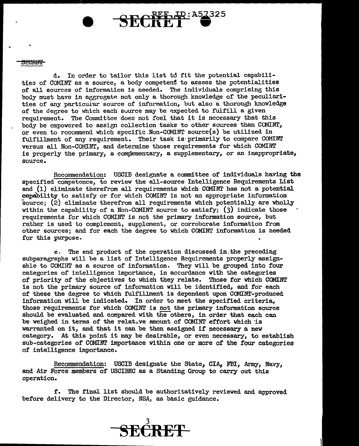#### <del>SECRET</del>

d. In order to tailor this list to fit the potential capabilities of COMINT as a source, a body competent to assess the potentialities of all sources of information is needed. The individuals comprising this body must have in aggregate not only a thorough knowledge of the peculiarities of any particular source of information, but also a thorough knowledge of the degree to which each source may be expected to fulfill a given requirement. The Committee does not feel that it is necessary that this body be empowered to assign collection tasks to other sources than COMINT, or even to recommend which specific.Non-COMINT source(s) be utilized in fulfillment of any requirement. Their task is primarily to compare COMINT versus all Non-COMINT, and determine those requirements for which COMINT is properly the primary, a complementary, a supplementary, or an inappropriate, source.

Recommendation: USCIB designate a committee of individuals having the specified competence, to review the all-source Intelligence Requirements List and (1) eliminate therefrom all requirements which COMINT has not a potential capability to satisfy or for which COMINT is not an appropriate information source; (2) eliminate therefrom all requirements which potentially are wholly within the capability of a Non-COMINT source to satisfy;  $(3)$  indicate those requirements for which COMINT is not the primary information source, but rather is used to complement, supplement, or corroborate information from other sources; and for each the deeree to which COMINT information is needed for this purpose.

e. The end product of the operation discussed in.the preceding subparagraphs will be a list of Intelligence Requirements properly assignable to COMIHT as a source of information. They will be grouped into four categories of intelligence importance, in accordance with the categories of priority of the objectives to which they relate. Those for which COMINT is not the primary source of information Will be identified, and for each of these the degree to which fulfillment is dependent upon COMINT-produced information will be indicated. In order to meet the specified criteria, those requirements for which COMINT is not the primary information source should be evaluated and compared with the others, in order that each can be weighed in terms of the relative amount of COMINT effort which 'is warranted on it, and that it can be then assigned if necessary a new category. At this point it may be desirable, or even necessary, to establish sub-categories of COMINT importance within one or more of the four categories of intelligence importance.

Recommendation: USCIB designate the State, CIA, FBI, Army, Navy, and Air Force members of USCIBEC as a Standing Group to carry out this operation.

f. The final list should be authoritatively reviewed and approved before delivery to the Director, NSA, as basic guidance.

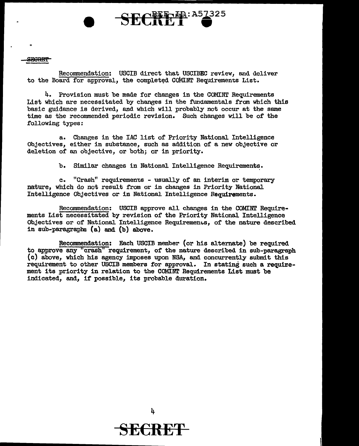#### **SECRET**

Recommendation: USCIB direct that USCIBEC review, and deliver to the Board for approval, the completed COMINT Requirements List.

SECTP: A57325

4. Provision must be made for changes in the COMINT Requirements List which are necessitated by changes in the fundamentals from which this basic guidance is derived, and which will probably not occur at the same time as the recommended periodic revision. Such changes will be of the following types:

a. Changes in the IAC list of Priority National Intelligence Objectives, either in substance, such as addition of a new objective or deletion of an objective, or both; or in priority.

b. Similar changes in National Intelligence Requirements.

c. "Crash" requirements - usually of an interim or temporary nature, which do not result from or in changes in Priority National Intelligence ObJectives or in National Intelligence Requirements.

Reconunendation: USCIB approve all changes in the COMINT Requirements List necessitated by revision of the Priority National Intelligence Objectives or of National Intelligence Requirements, of the nature described in sub-paragraphs (a) and (b) above.

Recommendation: Each USCIB member (or his alternate) be required to approve any "crash" requirement, of the nature described in sub-paragraph (c) above, which his agency imposes upon NSA, and concurrently submit this requirement to other USCIB members for approval. In stating such a requirement its priority in relation to the COMINT Requirements List must be indicated, and, if possible, its probable duration.



4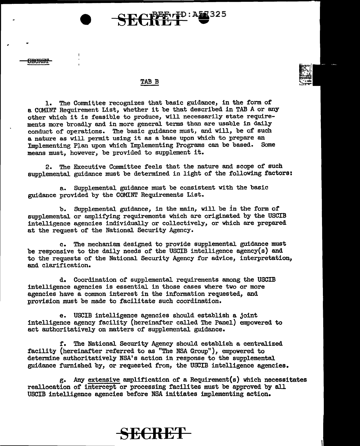# NBEET PD: A57325

#### TAB B

1. The Committee recognizes that basic guidance, in the form of a COMINT Requirement List, whether it be that described in TAB A or any other which it is feasible to produce, will necessarily state requirements more broadly and in more general terms than are usable in daily conduct of operations. The basic guidance must, and will, be of such a nature as will permit using it as a base upon which to prepare an Implementing Plan upon which Implementing Programs can be based. Some means must, however, be provided to supplement it.

2. The Executive Committee feels that the nature and scope of such supplemental guidance must be determined in light of the following factors:

a. Supplemental guidance must be consistent with the basic guidance provided by the COMINT Requirements List.

b. Supplemental guidance, in the main, will be in the form of supplemental or amplifying requirements which are originated by the USCIB intelligence agencies individually or collectively, or which are prepared at the request of the National Security Agency.

c. The mechanism designed to provide supplemental guidance must be responsive to the daily needs of the USCIB intelligence agency(s) and to the requests of the National Security Agency for advice, interpretation, and clarification.

d. Coordination of supplemental requirements among the USCIB intelligence agencies is essential in those cases where two or more agencies have a common interest in the information requested, and provision must be made to facilitate such coordination.

e. USCIB intelligence agencies should establish a joint intelligence agency facility (hereinafter called The Panel) empowered to act authoritatively on matters of supplemental guidance.

r. The National Security Agency should establish a centralized facility (hereinafter referred to as "The NSA Group"), empowered to determine authoritatively NSA's action in response to the supplemental guidance furnished by, or requested trom, the USCIB intelligence agencies.

g. Any extensive amplification of a Requirement(s) which necessitates reallocation of intercept or processing facilites must be approved by all USCIB intelligence agencies before NSA initiates implementing action.

### **SECRET**